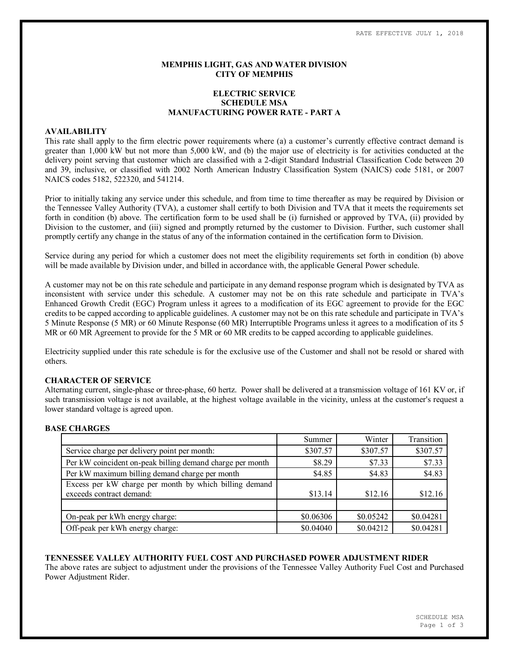### **MEMPHIS LIGHT, GAS AND WATER DIVISION CITY OF MEMPHIS**

## **ELECTRIC SERVICE SCHEDULE MSA MANUFACTURING POWER RATE - PART A**

### **AVAILABILITY**

This rate shall apply to the firm electric power requirements where (a) a customer's currently effective contract demand is greater than 1,000 kW but not more than 5,000 kW, and (b) the major use of electricity is for activities conducted at the delivery point serving that customer which are classified with a 2-digit Standard Industrial Classification Code between 20 and 39, inclusive, or classified with 2002 North American Industry Classification System (NAICS) code 5181, or 2007 NAICS codes 5182, 522320, and 541214.

Prior to initially taking any service under this schedule, and from time to time thereafter as may be required by Division or the Tennessee Valley Authority (TVA), a customer shall certify to both Division and TVA that it meets the requirements set forth in condition (b) above. The certification form to be used shall be (i) furnished or approved by TVA, (ii) provided by Division to the customer, and (iii) signed and promptly returned by the customer to Division. Further, such customer shall promptly certify any change in the status of any of the information contained in the certification form to Division.

Service during any period for which a customer does not meet the eligibility requirements set forth in condition (b) above will be made available by Division under, and billed in accordance with, the applicable General Power schedule.

A customer may not be on this rate schedule and participate in any demand response program which is designated by TVA as inconsistent with service under this schedule. A customer may not be on this rate schedule and participate in TVA's Enhanced Growth Credit (EGC) Program unless it agrees to a modification of its EGC agreement to provide for the EGC credits to be capped according to applicable guidelines. A customer may not be on this rate schedule and participate in TVA's 5 Minute Response (5 MR) or 60 Minute Response (60 MR) Interruptible Programs unless it agrees to a modification of its 5 MR or 60 MR Agreement to provide for the 5 MR or 60 MR credits to be capped according to applicable guidelines.

Electricity supplied under this rate schedule is for the exclusive use of the Customer and shall not be resold or shared with others.

### **CHARACTER OF SERVICE**

Alternating current, single-phase or three-phase, 60 hertz. Power shall be delivered at a transmission voltage of 161 KV or, if such transmission voltage is not available, at the highest voltage available in the vicinity, unless at the customer's request a lower standard voltage is agreed upon.

### **BASE CHARGES**

|                                                           | Summer    | Winter    | Transition |
|-----------------------------------------------------------|-----------|-----------|------------|
| Service charge per delivery point per month:              | \$307.57  | \$307.57  | \$307.57   |
| Per kW coincident on-peak billing demand charge per month | \$8.29    | \$7.33    | \$7.33     |
| Per kW maximum billing demand charge per month            | \$4.85    | \$4.83    | \$4.83     |
| Excess per kW charge per month by which billing demand    |           |           |            |
| exceeds contract demand:                                  | \$13.14   | \$12.16   | \$12.16    |
|                                                           |           |           |            |
| On-peak per kWh energy charge:                            | \$0.06306 | \$0.05242 | \$0.04281  |
| Off-peak per kWh energy charge:                           | \$0.04040 | \$0.04212 | \$0.04281  |

### **TENNESSEE VALLEY AUTHORITY FUEL COST AND PURCHASED POWER ADJUSTMENT RIDER**

The above rates are subject to adjustment under the provisions of the Tennessee Valley Authority Fuel Cost and Purchased Power Adjustment Rider.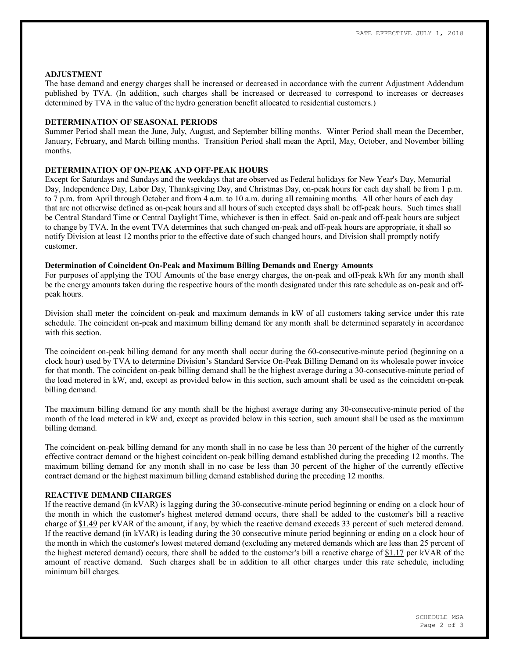#### **ADJUSTMENT**

The base demand and energy charges shall be increased or decreased in accordance with the current Adjustment Addendum published by TVA. (In addition, such charges shall be increased or decreased to correspond to increases or decreases determined by TVA in the value of the hydro generation benefit allocated to residential customers.)

### **DETERMINATION OF SEASONAL PERIODS**

Summer Period shall mean the June, July, August, and September billing months. Winter Period shall mean the December, January, February, and March billing months. Transition Period shall mean the April, May, October, and November billing months.

# **DETERMINATION OF ON-PEAK AND OFF-PEAK HOURS**

Except for Saturdays and Sundays and the weekdays that are observed as Federal holidays for New Year's Day, Memorial Day, Independence Day, Labor Day, Thanksgiving Day, and Christmas Day, on-peak hours for each day shall be from 1 p.m. to 7 p.m. from April through October and from 4 a.m. to 10 a.m. during all remaining months. All other hours of each day that are not otherwise defined as on-peak hours and all hours of such excepted days shall be off-peak hours. Such times shall be Central Standard Time or Central Daylight Time, whichever is then in effect. Said on-peak and off-peak hours are subject to change by TVA. In the event TVA determines that such changed on-peak and off-peak hours are appropriate, it shall so notify Division at least 12 months prior to the effective date of such changed hours, and Division shall promptly notify customer.

### **Determination of Coincident On-Peak and Maximum Billing Demands and Energy Amounts**

For purposes of applying the TOU Amounts of the base energy charges, the on-peak and off-peak kWh for any month shall be the energy amounts taken during the respective hours of the month designated under this rate schedule as on-peak and offpeak hours.

Division shall meter the coincident on-peak and maximum demands in kW of all customers taking service under this rate schedule. The coincident on-peak and maximum billing demand for any month shall be determined separately in accordance with this section

The coincident on-peak billing demand for any month shall occur during the 60-consecutive-minute period (beginning on a clock hour) used by TVA to determine Division's Standard Service On-Peak Billing Demand on its wholesale power invoice for that month. The coincident on-peak billing demand shall be the highest average during a 30-consecutive-minute period of the load metered in kW, and, except as provided below in this section, such amount shall be used as the coincident on-peak billing demand.

The maximum billing demand for any month shall be the highest average during any 30-consecutive-minute period of the month of the load metered in kW and, except as provided below in this section, such amount shall be used as the maximum billing demand.

The coincident on-peak billing demand for any month shall in no case be less than 30 percent of the higher of the currently effective contract demand or the highest coincident on-peak billing demand established during the preceding 12 months. The maximum billing demand for any month shall in no case be less than 30 percent of the higher of the currently effective contract demand or the highest maximum billing demand established during the preceding 12 months.

### **REACTIVE DEMAND CHARGES**

If the reactive demand (in kVAR) is lagging during the 30-consecutive-minute period beginning or ending on a clock hour of the month in which the customer's highest metered demand occurs, there shall be added to the customer's bill a reactive charge of \$1.49 per kVAR of the amount, if any, by which the reactive demand exceeds 33 percent of such metered demand. If the reactive demand (in kVAR) is leading during the 30 consecutive minute period beginning or ending on a clock hour of the month in which the customer's lowest metered demand (excluding any metered demands which are less than 25 percent of the highest metered demand) occurs, there shall be added to the customer's bill a reactive charge of \$1.17 per kVAR of the amount of reactive demand. Such charges shall be in addition to all other charges under this rate schedule, including minimum bill charges.